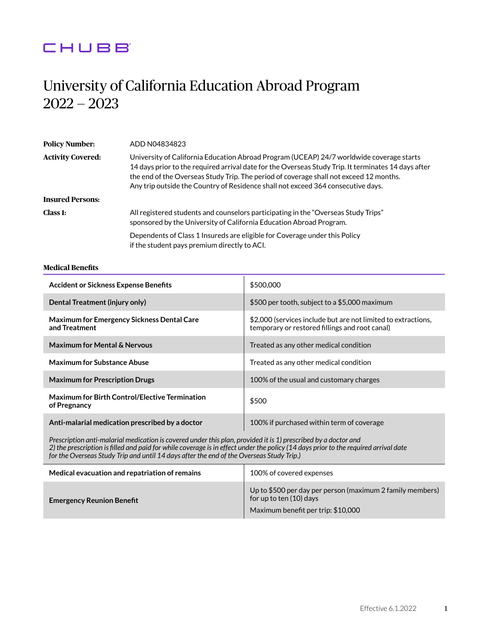# CHUBB

# University of California Education Abroad Program 2022 — 2023

| <b>Policy Number:</b>    | ADD N04834823                                                                                                                                                                                                                                                                                                                                                                 |  |
|--------------------------|-------------------------------------------------------------------------------------------------------------------------------------------------------------------------------------------------------------------------------------------------------------------------------------------------------------------------------------------------------------------------------|--|
| <b>Activity Covered:</b> | University of California Education Abroad Program (UCEAP) 24/7 worldwide coverage starts<br>14 days prior to the required arrival date for the Overseas Study Trip. It terminates 14 days after<br>the end of the Overseas Study Trip. The period of coverage shall not exceed 12 months.<br>Any trip outside the Country of Residence shall not exceed 364 consecutive days. |  |
| <b>Insured Persons:</b>  |                                                                                                                                                                                                                                                                                                                                                                               |  |
| Class 1:                 | All registered students and counselors participating in the "Overseas Study Trips"<br>sponsored by the University of California Education Abroad Program.                                                                                                                                                                                                                     |  |
|                          | Dependents of Class 1 Insureds are eligible for Coverage under this Policy<br>if the student pays premium directly to ACI.                                                                                                                                                                                                                                                    |  |

# **Medical Benefits**

| <b>Accident or Sickness Expense Benefits</b>                                                                                                                                                                                                                                                                                                      | \$500,000                                                                                                       |  |
|---------------------------------------------------------------------------------------------------------------------------------------------------------------------------------------------------------------------------------------------------------------------------------------------------------------------------------------------------|-----------------------------------------------------------------------------------------------------------------|--|
| Dental Treatment (injury only)                                                                                                                                                                                                                                                                                                                    | \$500 per tooth, subject to a \$5,000 maximum                                                                   |  |
| <b>Maximum for Emergency Sickness Dental Care</b><br>and Treatment                                                                                                                                                                                                                                                                                | \$2,000 (services include but are not limited to extractions,<br>temporary or restored fillings and root canal) |  |
| <b>Maximum for Mental &amp; Nervous</b>                                                                                                                                                                                                                                                                                                           | Treated as any other medical condition                                                                          |  |
| <b>Maximum for Substance Abuse</b>                                                                                                                                                                                                                                                                                                                | Treated as any other medical condition                                                                          |  |
| <b>Maximum for Prescription Drugs</b>                                                                                                                                                                                                                                                                                                             | 100% of the usual and customary charges                                                                         |  |
| <b>Maximum for Birth Control/Elective Termination</b><br>of Pregnancy                                                                                                                                                                                                                                                                             | \$500                                                                                                           |  |
| Anti-malarial medication prescribed by a doctor                                                                                                                                                                                                                                                                                                   | 100% if purchased within term of coverage                                                                       |  |
| Prescription anti-malarial medication is covered under this plan, provided it is 1) prescribed by a doctor and<br>2) the prescription is filled and paid for while coverage is in effect under the policy (14 days prior to the required arrival date<br>for the Overseas Study Trip and until 14 days after the end of the Overseas Study Trip.) |                                                                                                                 |  |

| Medical evacuation and repatriation of remains | 100% of covered expenses                                                             |
|------------------------------------------------|--------------------------------------------------------------------------------------|
| <b>Emergency Reunion Benefit</b>               | Up to \$500 per day per person (maximum 2 family members)<br>for up to ten (10) days |
|                                                | Maximum benefit per trip: \$10,000                                                   |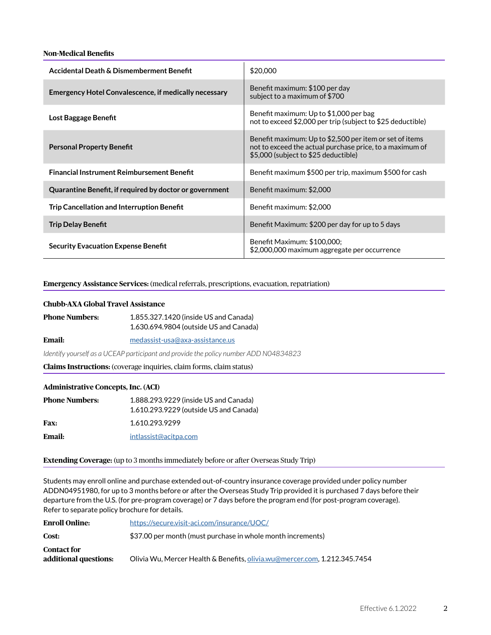## **Non-Medical Benefits**

| Accidental Death & Dismemberment Benefit                     | \$20,000                                                                                                                                                    |
|--------------------------------------------------------------|-------------------------------------------------------------------------------------------------------------------------------------------------------------|
| <b>Emergency Hotel Convalescence, if medically necessary</b> | Benefit maximum: \$100 per day<br>subject to a maximum of \$700                                                                                             |
| Lost Baggage Benefit                                         | Benefit maximum: Up to \$1,000 per bag<br>not to exceed \$2,000 per trip (subject to \$25 deductible)                                                       |
| <b>Personal Property Benefit</b>                             | Benefit maximum: Up to \$2,500 per item or set of items<br>not to exceed the actual purchase price, to a maximum of<br>\$5,000 (subject to \$25 deductible) |
| <b>Financial Instrument Reimbursement Benefit</b>            | Benefit maximum \$500 per trip, maximum \$500 for cash                                                                                                      |
| Quarantine Benefit, if required by doctor or government      | Benefit maximum: \$2,000                                                                                                                                    |
| <b>Trip Cancellation and Interruption Benefit</b>            | Benefit maximum: \$2,000                                                                                                                                    |
| <b>Trip Delay Benefit</b>                                    | Benefit Maximum: \$200 per day for up to 5 days                                                                                                             |
| <b>Security Evacuation Expense Benefit</b>                   | Benefit Maximum: \$100,000;<br>\$2,000,000 maximum aggregate per occurrence                                                                                 |

#### **Emergency Assistance Services:** (medical referrals, prescriptions, evacuation, repatriation)

# **Chubb-AXA Global Travel Assistance**

| <b>Phone Numbers:</b> | 1.855.327.1420 (inside US and Canada)  |
|-----------------------|----------------------------------------|
|                       | 1.630.694.9804 (outside US and Canada) |

**Email:** [medassist-usa@axa-assistance.us](mailto:medassist-usa%40axa-assistance.us?subject=)

*Identify yourself as a UCEAP participant and provide the policy number ADD N04834823*

**Claims Instructions:** (coverage inquiries, claim forms, claim status)

#### **Administrative Concepts, Inc. (ACI)**

| <b>Phone Numbers:</b> | 1.888.293.9229 (inside US and Canada)  |
|-----------------------|----------------------------------------|
|                       | 1.610.293.9229 (outside US and Canada) |
| <b>Fax:</b>           | 1.610.293.9299                         |
| Email:                | intlassist@acitpa.com                  |

#### **Extending Coverage:** (up to 3 months immediately before or after Overseas Study Trip)

Students may enroll online and purchase extended out-of-country insurance coverage provided under policy number ADDN04951980, for up to 3 months before or after the Overseas Study Trip provided it is purchased 7 days before their departure from the U.S. (for pre-program coverage) or 7 days before the program end (for post-program coverage). Refer to separate policy brochure for details.

| <b>Enroll Online:</b>                       | https://secure.visit-aci.com/insurance/UOC/                               |
|---------------------------------------------|---------------------------------------------------------------------------|
| Cost:                                       | \$37.00 per month (must purchase in whole month increments)               |
| <b>Contact for</b><br>additional questions: | Olivia Wu, Mercer Health & Benefits, olivia.wu@mercer.com, 1.212.345.7454 |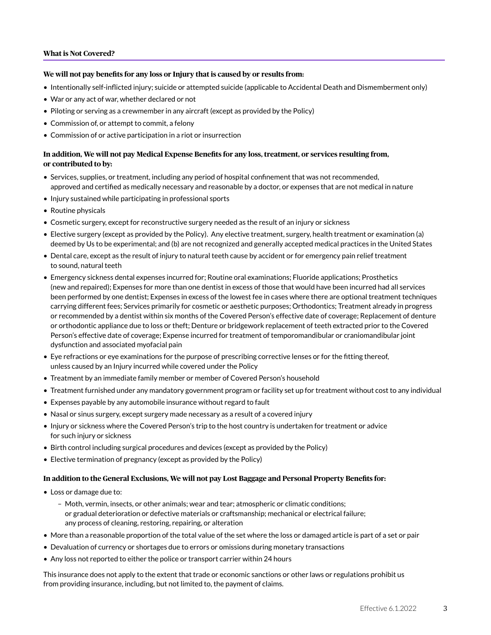## **What is Not Covered?**

#### **We will not pay benefits for any loss or Injury that is caused by or results from:**

- Intentionally self-inflicted injury; suicide or attempted suicide (applicable to Accidental Death and Dismemberment only)
- War or any act of war, whether declared or not
- Piloting or serving as a crewmember in any aircraft (except as provided by the Policy)
- Commission of, or attempt to commit, a felony
- Commission of or active participation in a riot or insurrection

# **In addition, We will not pay Medical Expense Benefits for any loss, treatment, or services resulting from, or contributed to by:**

- Services, supplies, or treatment, including any period of hospital confinement that was not recommended, approved and certified as medically necessary and reasonable by a doctor, or expenses that are not medical in nature
- Injury sustained while participating in professional sports
- Routine physicals
- Cosmetic surgery, except for reconstructive surgery needed as the result of an injury or sickness
- Elective surgery (except as provided by the Policy). Any elective treatment, surgery, health treatment or examination (a) deemed by Us to be experimental; and (b) are not recognized and generally accepted medical practices in the United States
- Dental care, except as the result of injury to natural teeth cause by accident or for emergency pain relief treatment to sound, natural teeth
- Emergency sickness dental expenses incurred for; Routine oral examinations; Fluoride applications; Prosthetics (new and repaired); Expenses for more than one dentist in excess of those that would have been incurred had all services been performed by one dentist; Expenses in excess of the lowest fee in cases where there are optional treatment techniques carrying different fees; Services primarily for cosmetic or aesthetic purposes; Orthodontics; Treatment already in progress or recommended by a dentist within six months of the Covered Person's effective date of coverage; Replacement of denture or orthodontic appliance due to loss or theft; Denture or bridgework replacement of teeth extracted prior to the Covered Person's effective date of coverage; Expense incurred for treatment of temporomandibular or craniomandibular joint dysfunction and associated myofacial pain
- Eye refractions or eye examinations for the purpose of prescribing corrective lenses or for the fitting thereof, unless caused by an Injury incurred while covered under the Policy
- Treatment by an immediate family member or member of Covered Person's household
- Treatment furnished under any mandatory government program or facility set up for treatment without cost to any individual
- Expenses payable by any automobile insurance without regard to fault
- Nasal or sinus surgery, except surgery made necessary as a result of a covered injury
- Injury or sickness where the Covered Person's trip to the host country is undertaken for treatment or advice for such injury or sickness
- Birth control including surgical procedures and devices (except as provided by the Policy)
- Elective termination of pregnancy (except as provided by the Policy)

#### **In addition to the General Exclusions, We will not pay Lost Baggage and Personal Property Benefits for:**

- Loss or damage due to:
	- Moth, vermin, insects, or other animals; wear and tear; atmospheric or climatic conditions; or gradual deterioration or defective materials or craftsmanship; mechanical or electrical failure; any process of cleaning, restoring, repairing, or alteration
- More than a reasonable proportion of the total value of the set where the loss or damaged article is part of a set or pair
- Devaluation of currency or shortages due to errors or omissions during monetary transactions
- Any loss not reported to either the police or transport carrier within 24 hours

This insurance does not apply to the extent that trade or economic sanctions or other laws or regulations prohibit us from providing insurance, including, but not limited to, the payment of claims.